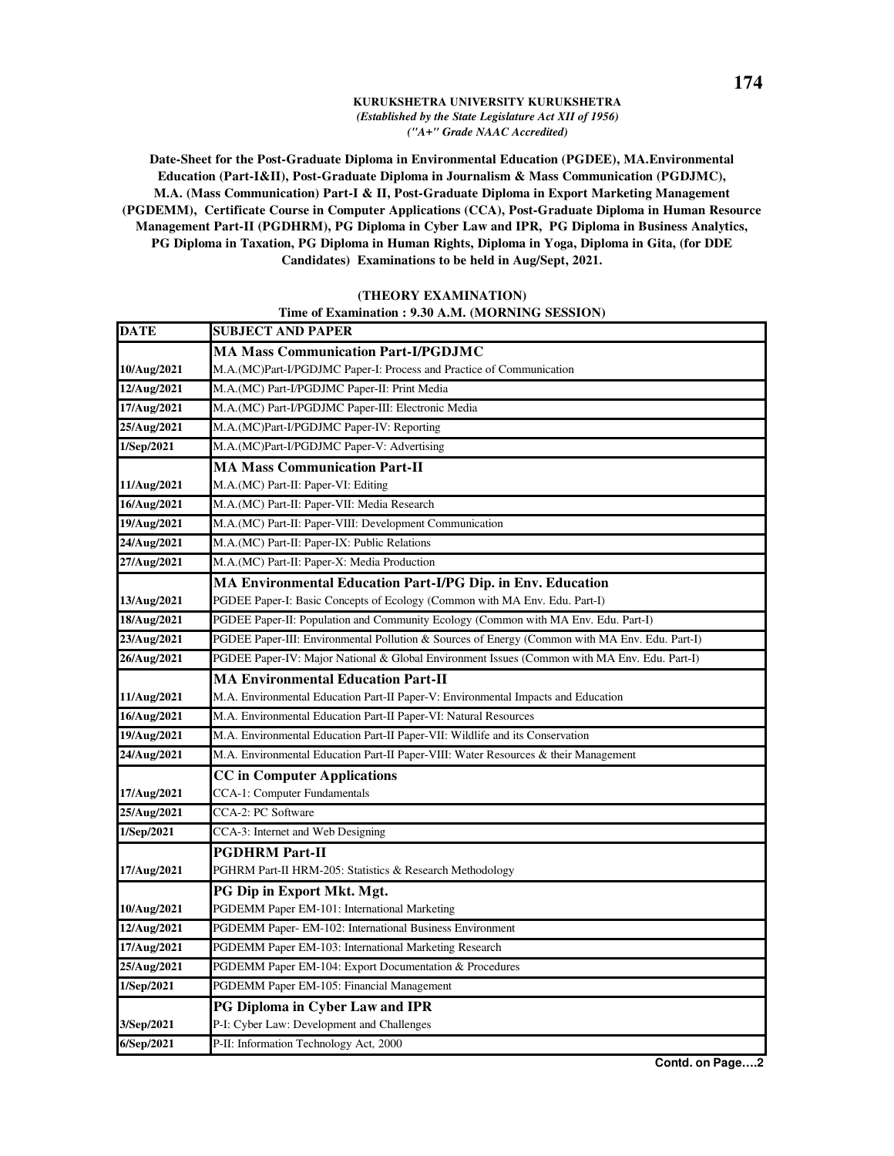## **KURUKSHETRA UNIVERSITY KURUKSHETRA**  *(Established by the State Legislature Act XII of 1956) ("A+" Grade NAAC Accredited)*

**Date-Sheet for the Post-Graduate Diploma in Environmental Education (PGDEE), MA.Environmental Education (Part-I&II), Post-Graduate Diploma in Journalism & Mass Communication (PGDJMC), M.A. (Mass Communication) Part-I & II, Post-Graduate Diploma in Export Marketing Management (PGDEMM), Certificate Course in Computer Applications (CCA), Post-Graduate Diploma in Human Resource Management Part-II (PGDHRM), PG Diploma in Cyber Law and IPR, PG Diploma in Business Analytics, PG Diploma in Taxation, PG Diploma in Human Rights, Diploma in Yoga, Diploma in Gita, (for DDE Candidates) Examinations to be held in Aug/Sept, 2021.**

## **(THEORY EXAMINATION)**

## **Time of Examination : 9.30 A.M. (MORNING SESSION)**

| <b>DATE</b> | <b>SUBJECT AND PAPER</b>                                                                       |
|-------------|------------------------------------------------------------------------------------------------|
|             | <b>MA Mass Communication Part-I/PGDJMC</b>                                                     |
| 10/Aug/2021 | M.A.(MC)Part-I/PGDJMC Paper-I: Process and Practice of Communication                           |
| 12/Aug/2021 | M.A.(MC) Part-I/PGDJMC Paper-II: Print Media                                                   |
| 17/Aug/2021 | M.A.(MC) Part-I/PGDJMC Paper-III: Electronic Media                                             |
| 25/Aug/2021 | M.A.(MC)Part-I/PGDJMC Paper-IV: Reporting                                                      |
| 1/Sep/2021  | M.A.(MC)Part-I/PGDJMC Paper-V: Advertising                                                     |
|             | <b>MA Mass Communication Part-II</b>                                                           |
| 11/Aug/2021 | M.A.(MC) Part-II: Paper-VI: Editing                                                            |
| 16/Aug/2021 | M.A.(MC) Part-II: Paper-VII: Media Research                                                    |
| 19/Aug/2021 | M.A.(MC) Part-II: Paper-VIII: Development Communication                                        |
| 24/Aug/2021 | M.A.(MC) Part-II: Paper-IX: Public Relations                                                   |
| 27/Aug/2021 | M.A.(MC) Part-II: Paper-X: Media Production                                                    |
|             | <b>MA Environmental Education Part-I/PG Dip. in Env. Education</b>                             |
| 13/Aug/2021 | PGDEE Paper-I: Basic Concepts of Ecology (Common with MA Env. Edu. Part-I)                     |
| 18/Aug/2021 | PGDEE Paper-II: Population and Community Ecology (Common with MA Env. Edu. Part-I)             |
| 23/Aug/2021 | PGDEE Paper-III: Environmental Pollution & Sources of Energy (Common with MA Env. Edu. Part-I) |
| 26/Aug/2021 | PGDEE Paper-IV: Major National & Global Environment Issues (Common with MA Env. Edu. Part-I)   |
|             | <b>MA Environmental Education Part-II</b>                                                      |
| 11/Aug/2021 | M.A. Environmental Education Part-II Paper-V: Environmental Impacts and Education              |
| 16/Aug/2021 | M.A. Environmental Education Part-II Paper-VI: Natural Resources                               |
| 19/Aug/2021 | M.A. Environmental Education Part-II Paper-VII: Wildlife and its Conservation                  |
| 24/Aug/2021 | M.A. Environmental Education Part-II Paper-VIII: Water Resources & their Management            |
|             | <b>CC</b> in Computer Applications                                                             |
| 17/Aug/2021 | CCA-1: Computer Fundamentals                                                                   |
| 25/Aug/2021 | CCA-2: PC Software                                                                             |
| 1/Sep/2021  | CCA-3: Internet and Web Designing                                                              |
|             | <b>PGDHRM Part-II</b>                                                                          |
| 17/Aug/2021 | PGHRM Part-II HRM-205: Statistics & Research Methodology                                       |
|             | PG Dip in Export Mkt. Mgt.                                                                     |
| 10/Aug/2021 | PGDEMM Paper EM-101: International Marketing                                                   |
| 12/Aug/2021 | PGDEMM Paper- EM-102: International Business Environment                                       |
| 17/Aug/2021 | PGDEMM Paper EM-103: International Marketing Research                                          |
| 25/Aug/2021 | PGDEMM Paper EM-104: Export Documentation & Procedures                                         |
| 1/Sep/2021  | PGDEMM Paper EM-105: Financial Management                                                      |
|             | PG Diploma in Cyber Law and IPR                                                                |
| 3/Sep/2021  | P-I: Cyber Law: Development and Challenges                                                     |
| 6/Sep/2021  | P-II: Information Technology Act, 2000                                                         |

**Contd. on Page….2**